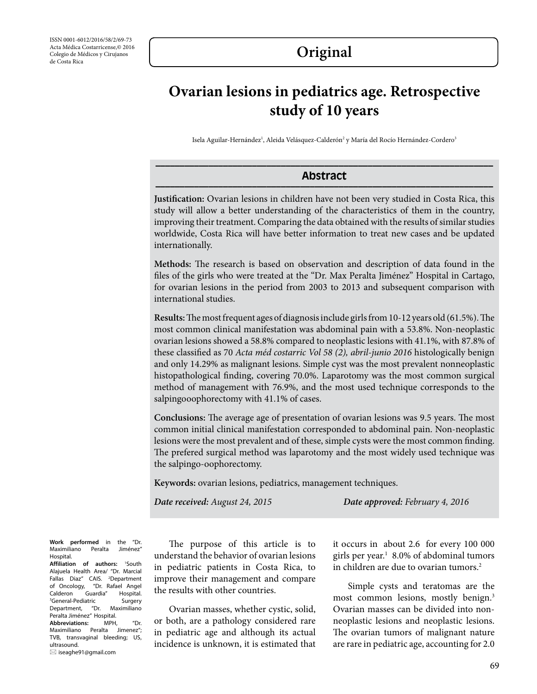## **Original**

# **Ovarian lesions in pediatrics age. Retrospective study of 10 years**

Isela Aguilar-Hernández<sup>ı</sup>, Aleida Velásquez-Calderón<sup>2</sup> y María del Rocío Hernández-Cordero<sup>3</sup>

### **Abstract \_\_\_\_\_\_\_\_\_\_\_\_\_\_\_\_\_\_\_\_\_\_\_\_\_\_\_\_\_\_\_\_\_\_\_\_\_\_\_\_\_\_\_\_\_\_\_\_\_\_\_\_\_\_\_\_\_\_\_\_\_\_\_\_\_\_\_\_\_\_**

**Justification:** Ovarian lesions in children have not been very studied in Costa Rica, this study will allow a better understanding of the characteristics of them in the country, improving their treatment. Comparing the data obtained with the results of similar studies worldwide, Costa Rica will have better information to treat new cases and be updated internationally.

**Methods:** The research is based on observation and description of data found in the files of the girls who were treated at the "Dr. Max Peralta Jiménez" Hospital in Cartago, for ovarian lesions in the period from 2003 to 2013 and subsequent comparison with international studies.

**Results:** The most frequent ages of diagnosis include girls from 10-12 years old (61.5%). The most common clinical manifestation was abdominal pain with a 53.8%. Non-neoplastic ovarian lesions showed a 58.8% compared to neoplastic lesions with 41.1%, with 87.8% of these classified as 70 *Acta méd costarric Vol 58 (2), abril-junio 2016* histologically benign and only 14.29% as malignant lesions. Simple cyst was the most prevalent nonneoplastic histopathological finding, covering 70.0%. Laparotomy was the most common surgical method of management with 76.9%, and the most used technique corresponds to the salpingooophorectomy with 41.1% of cases.

**Conclusions:** The average age of presentation of ovarian lesions was 9.5 years. The most common initial clinical manifestation corresponded to abdominal pain. Non-neoplastic lesions were the most prevalent and of these, simple cysts were the most common finding. The prefered surgical method was laparotomy and the most widely used technique was the salpingo-oophorectomy.

**Keywords:** ovarian lesions, pediatrics, management techniques.

*Date received: August 24, 2015 Date approved: February 4, 2016*

**Work performed** in the "Dr. Maximiliano Peralta Jiménez" Hospital.

**Affiliation of authors:** <sup>1</sup> South Alajuela Health Area/ "Dr. Marcial Fallas Diaz" CAIS. <sup>2</sup>Department of Oncology, "Dr. Rafael Angel<br>Calderon Guardia" Hospital. Calderon Guardia" Hospital. 3 General-Pediatric Surgery Department, "Dr. Maximiliano Peralta Jiménez" Hospital. **Abbreviations:** MPH, "Dr. Maximiliano Peralta Jimenez"; TVB, transvaginal bleeding; US, ultrasound. iseaghe91@gmail.com

The purpose of this article is to understand the behavior of ovarian lesions in pediatric patients in Costa Rica, to improve their management and compare the results with other countries.

Ovarian masses, whether cystic, solid, or both, are a pathology considered rare in pediatric age and although its actual incidence is unknown, it is estimated that it occurs in about 2.6 for every 100 000 girls per year.<sup>1</sup> 8.0% of abdominal tumors in children are due to ovarian tumors.<sup>2</sup>

Simple cysts and teratomas are the most common lesions, mostly benign.<sup>3</sup> Ovarian masses can be divided into nonneoplastic lesions and neoplastic lesions. The ovarian tumors of malignant nature are rare in pediatric age, accounting for 2.0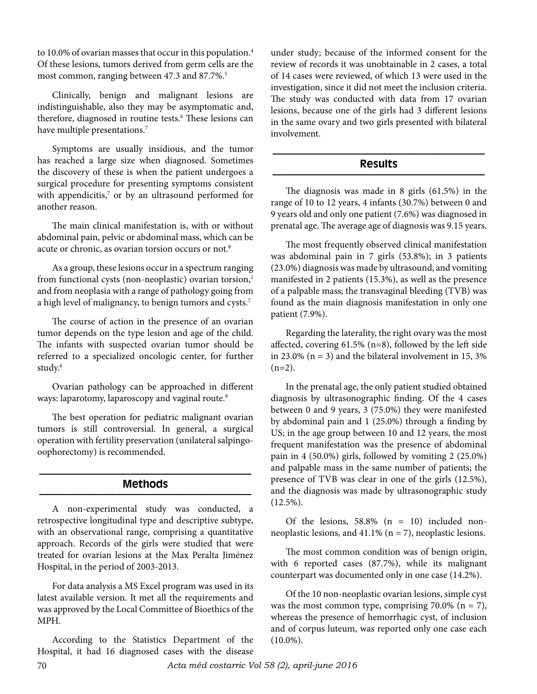to 10.0% of ovarian masses that occur in this population.<sup>4</sup> Of these lesions, tumors derived from germ cells are the most common, ranging between 47.3 and 87.7%.<sup>5</sup>

Clinically, benign and malignant lesions are indistinguishable, also they may be asymptomatic and, therefore, diagnosed in routine tests.<sup>6</sup> These lesions can have multiple presentations.<sup>7</sup>

Symptoms are usually insidious, and the tumor has reached a large size when diagnosed. Sometimes the discovery of these is when the patient undergoes a surgical procedure for presenting symptoms consistent with appendicitis,<sup>7</sup> or by an ultrasound performed for another reason.

The main clinical manifestation is, with or without abdominal pain, pelvic or abdominal mass, which can be acute or chronic, as ovarian torsion occurs or not.<sup>8</sup>

As a group, these lesions occur in a spectrum ranging from functional cysts (non-neoplastic) ovarian torsion,<sup>1</sup> and from neoplasia with a range of pathology going from a high level of malignancy, to benign tumors and cysts.<sup>7</sup>

The course of action in the presence of an ovarian tumor depends on the type lesion and age of the child. The infants with suspected ovarian tumor should be referred to a specialized oncologic center, for further study.6

Ovarian pathology can be approached in different ways: laparotomy, laparoscopy and vaginal route.<sup>9</sup>

The best operation for pediatric malignant ovarian tumors is still controversial. In general, a surgical operation with fertility preservation (unilateral salpingooophorectomy) is recommended.

#### **\_\_\_\_\_\_\_\_\_\_\_\_\_\_\_\_\_\_\_\_\_\_\_\_\_\_\_\_\_\_\_\_\_\_\_\_\_\_\_\_\_\_\_\_ Methods \_\_\_\_\_\_\_\_\_\_\_\_\_\_\_\_\_\_\_\_\_\_\_\_\_\_\_\_\_\_\_\_\_\_\_\_\_\_\_\_\_\_\_\_**

A non-experimental study was conducted, a retrospective longitudinal type and descriptive subtype, with an observational range, comprising a quantitative approach. Records of the girls were studied that were treated for ovarian lesions at the Max Peralta Jiménez Hospital, in the period of 2003-2013.

For data analysis a MS Excel program was used in its latest available version. It met all the requirements and was approved by the Local Committee of Bioethics of the MPH.

According to the Statistics Department of the Hospital, it had 16 diagnosed cases with the disease

under study; because of the informed consent for the review of records it was unobtainable in 2 cases, a total of 14 cases were reviewed, of which 13 were used in the investigation, since it did not meet the inclusion criteria. The study was conducted with data from 17 ovarian lesions, because one of the girls had 3 different lesions in the same ovary and two girls presented with bilateral involvement.

### **\_\_\_\_\_\_\_\_\_\_\_\_\_\_\_\_\_\_\_\_\_\_\_\_\_\_\_\_\_\_\_\_\_\_\_\_\_\_\_\_\_\_\_\_ Results \_\_\_\_\_\_\_\_\_\_\_\_\_\_\_\_\_\_\_\_\_\_\_\_\_\_\_\_\_\_\_\_\_\_\_\_\_\_\_\_\_\_\_\_**

The diagnosis was made in 8 girls (61.5%) in the range of 10 to 12 years, 4 infants (30.7%) between 0 and 9 years old and only one patient (7.6%) was diagnosed in prenatal age. The average age of diagnosis was 9.15 years.

The most frequently observed clinical manifestation was abdominal pain in 7 girls (53.8%); in 3 patients (23.0%) diagnosis was made by ultrasound, and vomiting manifested in 2 patients (15.3%), as well as the presence of a palpable mass; the transvaginal bleeding (TVB) was found as the main diagnosis manifestation in only one patient (7.9%).

Regarding the laterality, the right ovary was the most affected, covering 61.5% (n=8), followed by the left side in 23.0% ( $n = 3$ ) and the bilateral involvement in 15, 3%  $(n=2)$ .

In the prenatal age, the only patient studied obtained diagnosis by ultrasonographic finding. Of the 4 cases between 0 and 9 years, 3 (75.0%) they were manifested by abdominal pain and 1 (25.0%) through a finding by US; in the age group between 10 and 12 years, the most frequent manifestation was the presence of abdominal pain in 4 (50.0%) girls, followed by vomiting 2 (25.0%) and palpable mass in the same number of patients; the presence of TVB was clear in one of the girls (12.5%), and the diagnosis was made by ultrasonographic study (12.5%).

Of the lesions,  $58.8\%$  (n = 10) included nonneoplastic lesions, and  $41.1\%$  (n = 7), neoplastic lesions.

The most common condition was of benign origin, with 6 reported cases (87.7%), while its malignant counterpart was documented only in one case (14.2%).

Of the 10 non-neoplastic ovarian lesions, simple cyst was the most common type, comprising  $70.0\%$  (n = 7), whereas the presence of hemorrhagic cyst, of inclusion and of corpus luteum, was reported only one case each (10.0%).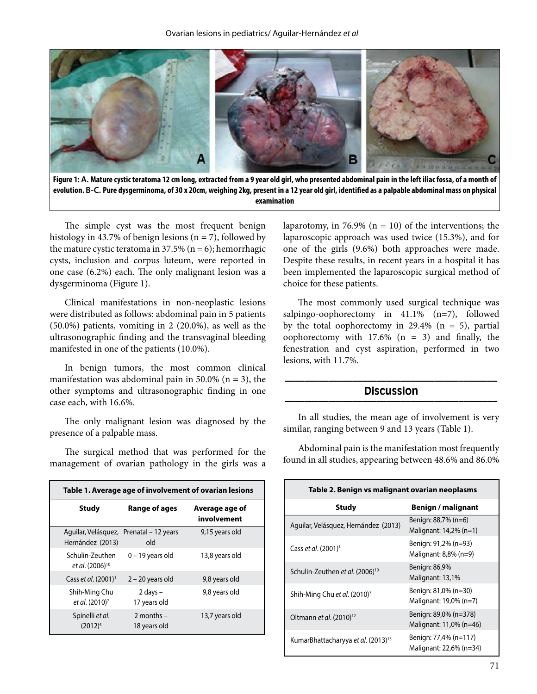

**Figure 1: A. Mature cystic teratoma 12 cm long, extracted from a 9 year old girl, who presented abdominal pain in the left iliac fossa, of a month of evolution. B-C. Pure dysgerminoma, of 30 x 20cm, weighing 2kg, present in a 12 year old girl, identified as a palpable abdominal mass on physical examination**

The simple cyst was the most frequent benign histology in 43.7% of benign lesions ( $n = 7$ ), followed by the mature cystic teratoma in 37.5% ( $n = 6$ ); hemorrhagic cysts, inclusion and corpus luteum, were reported in one case (6.2%) each. The only malignant lesion was a dysgerminoma (Figure 1).

Clinical manifestations in non-neoplastic lesions were distributed as follows: abdominal pain in 5 patients (50.0%) patients, vomiting in 2 (20.0%), as well as the ultrasonographic finding and the transvaginal bleeding manifested in one of the patients (10.0%).

In benign tumors, the most common clinical manifestation was abdominal pain in 50.0% ( $n = 3$ ), the other symptoms and ultrasonographic finding in one case each, with 16.6%.

The only malignant lesion was diagnosed by the presence of a palpable mass.

The surgical method that was performed for the management of ovarian pathology in the girls was a

| Table 1. Average age of involvement of ovarian lesions |                                                |                               |  |
|--------------------------------------------------------|------------------------------------------------|-------------------------------|--|
| Study                                                  | Range of ages                                  | Average age of<br>involvement |  |
| Hernández (2013)                                       | Aguilar, Velásquez, Prenatal – 12 years<br>old | 9,15 years old                |  |
| Schulin-Zeuthen<br>et al. (2006) <sup>10</sup>         | $0 - 19$ years old                             | 13,8 years old                |  |
| Cass et al. $(2001)^1$                                 | $2 - 20$ years old                             | 9,8 years old                 |  |
| Shih-Ming Chu<br>et al. (2010) <sup>7</sup>            | $2$ days $-$<br>17 years old                   | 9,8 years old                 |  |
| Spinelli et al.<br>$(2012)^4$                          | 2 months $-$<br>18 years old                   | 13,7 years old                |  |

laparotomy, in 76.9% ( $n = 10$ ) of the interventions; the laparoscopic approach was used twice (15.3%), and for one of the girls (9.6%) both approaches were made. Despite these results, in recent years in a hospital it has been implemented the laparoscopic surgical method of choice for these patients.

The most commonly used surgical technique was salpingo-oophorectomy in 41.1% (n=7), followed by the total oophorectomy in 29.4% ( $n = 5$ ), partial oophorectomy with  $17.6\%$  (n = 3) and finally, the fenestration and cyst aspiration, performed in two lesions, with 11.7%.

#### **\_\_\_\_\_\_\_\_\_\_\_\_\_\_\_\_\_\_\_\_\_\_\_\_\_\_\_\_\_\_\_\_\_\_\_\_\_\_\_\_\_\_\_\_ Discussion \_\_\_\_\_\_\_\_\_\_\_\_\_\_\_\_\_\_\_\_\_\_\_\_\_\_\_\_\_\_\_\_\_\_\_\_\_\_\_\_\_\_\_\_**

In all studies, the mean age of involvement is very similar, ranging between 9 and 13 years (Table 1).

Abdominal pain is the manifestation most frequently found in all studies, appearing between 48.6% and 86.0%

| Table 2. Benign vs malignant ovarian neoplasms |                                                  |  |
|------------------------------------------------|--------------------------------------------------|--|
| <b>Study</b>                                   | Benign / malignant                               |  |
| Aguilar, Velásquez, Hernández (2013)           | Benign: 88,7% (n=6)<br>Malignant: 14,2% (n=1)    |  |
| Cass et al. (2001) <sup>1</sup>                | Benign: 91,2% (n=93)<br>Malignant: 8,8% (n=9)    |  |
| Schulin-Zeuthen et al. (2006) <sup>10</sup>    | Benign: 86,9%<br>Malignant: 13,1%                |  |
| Shih-Ming Chu et al. (2010) <sup>7</sup>       | Benign: 81,0% (n=30)<br>Malignant: 19,0% (n=7)   |  |
| Oltmann et al. (2010) <sup>12</sup>            | Benign: 89,0% (n=378)<br>Malignant: 11,0% (n=46) |  |
| KumarBhattacharyya et al. (2013) <sup>13</sup> | Benign: 77,4% (n=117)<br>Malignant: 22,6% (n=34) |  |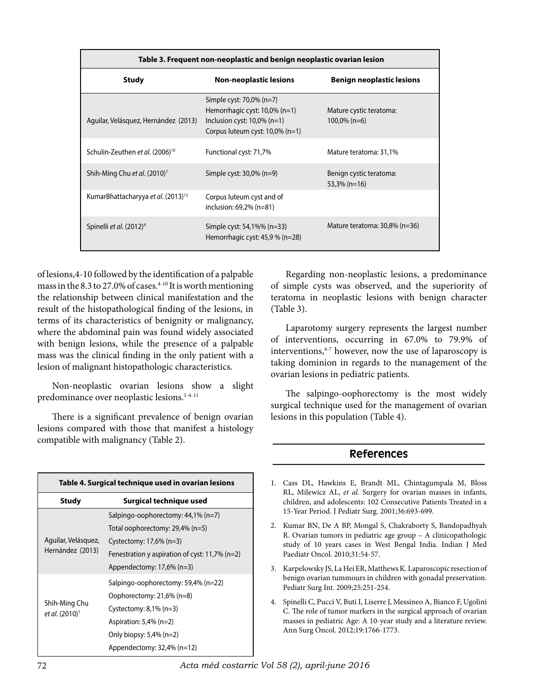| Table 3. Frequent non-neoplastic and benign neoplastic ovarian lesion |                                                                                                                                   |                                            |  |  |
|-----------------------------------------------------------------------|-----------------------------------------------------------------------------------------------------------------------------------|--------------------------------------------|--|--|
| <b>Study</b>                                                          | <b>Non-neoplastic lesions</b>                                                                                                     | <b>Benign neoplastic lesions</b>           |  |  |
| Aguilar, Velásquez, Hernández (2013)                                  | Simple cyst: 70,0% (n=7)<br>Hemorrhagic cyst: 10,0% (n=1)<br>Inclusion cyst: $10,0\%$ (n=1)<br>Corpus luteum cyst: $10,0\%$ (n=1) | Mature cystic teratoma:<br>$100,0\%$ (n=6) |  |  |
| Schulin-Zeuthen et al. (2006) <sup>10</sup>                           | Functional cyst: 71,7%                                                                                                            | Mature teratoma: 31,1%                     |  |  |
| Shih-Ming Chu et al. (2010) <sup>7</sup>                              | Simple cyst: $30,0\%$ (n=9)                                                                                                       | Benign cystic teratoma:<br>$53,3\%$ (n=16) |  |  |
| KumarBhattacharyya et al. (2013) <sup>13</sup>                        | Corpus luteum cyst and of<br>inclusion: 69,2% (n=81)                                                                              |                                            |  |  |
| Spinelli <i>et al.</i> (2012) <sup>4</sup>                            | Simple cyst: 54,1%% (n=33)<br>Hemorrhagic cyst: 45,9 % (n=28)                                                                     | Mature teratoma: $30,8\%$ (n=36)           |  |  |

of lesions,4-10 followed by the identification of a palpable mass in the  $8.3$  to  $27.0\%$  of cases.<sup>4-10</sup> It is worth mentioning the relationship between clinical manifestation and the result of the histopathological finding of the lesions, in terms of its characteristics of benignity or malignancy, where the abdominal pain was found widely associated with benign lesions, while the presence of a palpable mass was the clinical finding in the only patient with a lesion of malignant histopathologic characteristics.

Non-neoplastic ovarian lesions show a slight predominance over neoplastic lesions.<sup>1-4-11</sup>

There is a significant prevalence of benign ovarian lesions compared with those that manifest a histology compatible with malignancy (Table 2).

| Table 4. Surgical technique used in ovarian lesions |                                                |  |
|-----------------------------------------------------|------------------------------------------------|--|
| <b>Study</b>                                        | Surgical technique used                        |  |
| Aguilar, Velásquez,<br>Hernández (2013)             | Salpingo-oophorectomy: 44,1% (n=7)             |  |
|                                                     | Total oophorectomy: 29,4% (n=5)                |  |
|                                                     | Cystectomy: $17,6\%$ (n=3)                     |  |
|                                                     | Fenestration y aspiration of cyst: 11,7% (n=2) |  |
|                                                     | Appendectomy: $17,6\%$ (n=3)                   |  |
| Shih-Ming Chu<br>et al. (2010) <sup>7</sup>         | Salpingo-oophorectomy: 59,4% (n=22)            |  |
|                                                     | Oophorectomy: 21,6% (n=8)                      |  |
|                                                     | Cystectomy: $8,1\%$ (n=3)                      |  |
|                                                     | Aspiration: $5,4\%$ (n=2)                      |  |
|                                                     | Only biopsy: $5,4\%$ (n=2)                     |  |
|                                                     | Appendectomy: $32,4\%$ (n=12)                  |  |

Regarding non-neoplastic lesions, a predominance of simple cysts was observed, and the superiority of teratoma in neoplastic lesions with benign character (Table 3).

Laparotomy surgery represents the largest number of interventions, occurring in 67.0% to 79.9% of interventions,<sup>4-7</sup> however, now the use of laparoscopy is taking dominion in regards to the management of the ovarian lesions in pediatric patients.

The salpingo-oophorectomy is the most widely surgical technique used for the management of ovarian lesions in this population (Table 4).

#### **\_\_\_\_\_\_\_\_\_\_\_\_\_\_\_\_\_\_\_\_\_\_\_\_\_\_\_\_\_\_\_\_\_\_\_\_\_\_\_\_\_\_\_\_ References \_\_\_\_\_\_\_\_\_\_\_\_\_\_\_\_\_\_\_\_\_\_\_\_\_\_\_\_\_\_\_\_\_\_\_\_\_\_\_\_\_\_\_\_**

- 1. Cass DL, Hawkins E, Brandt ML, Chintagumpala M, Bloss RL, Milewicz AL, *et al*. Surgery for ovarian masses in infants, children, and adolescents: 102 Consecutive Patients Treated in a 15-Year Period. J Pediatr Surg. 2001;36:693-699.
- 2. Kumar BN, De A BP, Mongal S, Chakraborty S, Bandopadhyah R. Ovarian tumors in pediatric age group – A clinicopathologic study of 10 years cases in West Bengal India. Indian J Med Paediatr Oncol. 2010;31:54-57.
- 3. Karpelowsky JS, La Hei ER, Matthews K. Laparoscopic resection of benign ovarian tummours in children with gonadal preservation. Pediatr Surg Int. 2009;25:251-254.
- 4. Spinelli C, Pucci V, Buti I, Liserre J, Messineo A, Bianco F, Ugolini C. The role of tumor markers in the surgical approach of ovarian masses in pediatric Age: A 10-year study and a literature review. Ann Surg Oncol. 2012;19:1766-1773.